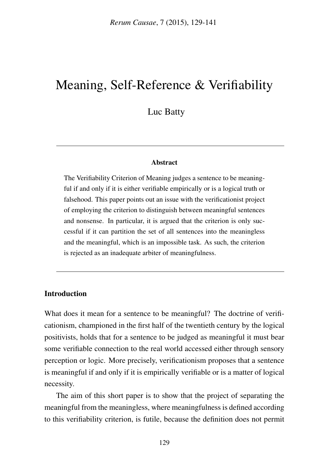# Meaning, Self-Reference & Verifiability

Luc Batty

#### Abstract

The Verifiability Criterion of Meaning judges a sentence to be meaningful if and only if it is either verifiable empirically or is a logical truth or falsehood. This paper points out an issue with the verificationist project of employing the criterion to distinguish between meaningful sentences and nonsense. In particular, it is argued that the criterion is only successful if it can partition the set of all sentences into the meaningless and the meaningful, which is an impossible task. As such, the criterion is rejected as an inadequate arbiter of meaningfulness.

#### Introduction

What does it mean for a sentence to be meaningful? The doctrine of verificationism, championed in the first half of the twentieth century by the logical positivists, holds that for a sentence to be judged as meaningful it must bear some verifiable connection to the real world accessed either through sensory perception or logic. More precisely, verificationism proposes that a sentence is meaningful if and only if it is empirically verifiable or is a matter of logical necessity.

The aim of this short paper is to show that the project of separating the meaningful from the meaningless, where meaningfulness is defined according to this verifiability criterion, is futile, because the definition does not permit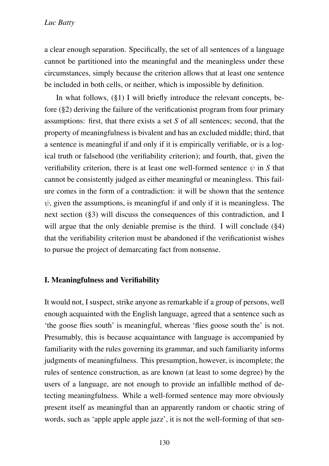a clear enough separation. Specifically, the set of all sentences of a language cannot be partitioned into the meaningful and the meaningless under these circumstances, simply because the criterion allows that at least one sentence be included in both cells, or neither, which is impossible by definition.

In what follows, (§1) I will briefly introduce the relevant concepts, before (§2) deriving the failure of the verificationist program from four primary assumptions: first, that there exists a set *S* of all sentences; second, that the property of meaningfulness is bivalent and has an excluded middle; third, that a sentence is meaningful if and only if it is empirically verifiable, or is a logical truth or falsehood (the verifiability criterion); and fourth, that, given the verifiability criterion, there is at least one well-formed sentence  $\psi$  in *S* that cannot be consistently judged as either meaningful or meaningless. This failure comes in the form of a contradiction: it will be shown that the sentence  $\psi$ , given the assumptions, is meaningful if and only if it is meaningless. The next section (§3) will discuss the consequences of this contradiction, and I will argue that the only deniable premise is the third. I will conclude (§4) that the verifiability criterion must be abandoned if the verificationist wishes to pursue the project of demarcating fact from nonsense.

#### I. Meaningfulness and Verifiability

It would not, I suspect, strike anyone as remarkable if a group of persons, well enough acquainted with the English language, agreed that a sentence such as 'the goose flies south' is meaningful, whereas 'flies goose south the' is not. Presumably, this is because acquaintance with language is accompanied by familiarity with the rules governing its grammar, and such familiarity informs judgments of meaningfulness. This presumption, however, is incomplete; the rules of sentence construction, as are known (at least to some degree) by the users of a language, are not enough to provide an infallible method of detecting meaningfulness. While a well-formed sentence may more obviously present itself as meaningful than an apparently random or chaotic string of words, such as 'apple apple apple jazz', it is not the well-forming of that sen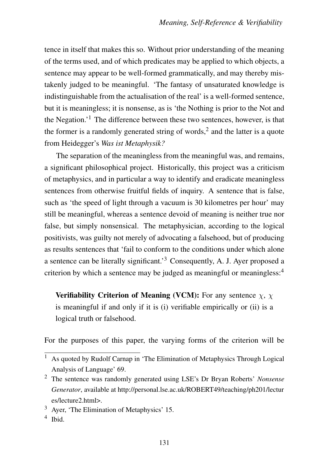tence in itself that makes this so. Without prior understanding of the meaning of the terms used, and of which predicates may be applied to which objects, a sentence may appear to be well-formed grammatically, and may thereby mistakenly judged to be meaningful. 'The fantasy of unsaturated knowledge is indistinguishable from the actualisation of the real' is a well-formed sentence, but it is meaningless; it is nonsense, as is 'the Nothing is prior to the Not and the Negation.<sup> $1$ </sup> The difference between these two sentences, however, is that the former is a randomly generated string of words,<sup>2</sup> and the latter is a quote from Heidegger's *Was ist Metaphysik?*

The separation of the meaningless from the meaningful was, and remains, a significant philosophical project. Historically, this project was a criticism of metaphysics, and in particular a way to identify and eradicate meaningless sentences from otherwise fruitful fields of inquiry. A sentence that is false, such as 'the speed of light through a vacuum is 30 kilometres per hour' may still be meaningful, whereas a sentence devoid of meaning is neither true nor false, but simply nonsensical. The metaphysician, according to the logical positivists, was guilty not merely of advocating a falsehood, but of producing as results sentences that 'fail to conform to the conditions under which alone a sentence can be literally significant.'3 Consequently, A. J. Ayer proposed a criterion by which a sentence may be judged as meaningful or meaningless:<sup>4</sup>

**Verifiability Criterion of Meaning (VCM):** For any sentence  $\gamma$ ,  $\gamma$ is meaningful if and only if it is (i) verifiable empirically or (ii) is a logical truth or falsehood.

For the purposes of this paper, the varying forms of the criterion will be

<sup>&</sup>lt;sup>1</sup> As quoted by Rudolf Carnap in 'The Elimination of Metaphysics Through Logical Analysis of Language' 69.

<sup>2</sup> The sentence was randomly generated using LSE's Dr Bryan Roberts' *Nonsense Generator*, available at http://personal.lse.ac.uk/ROBERT49/teaching/ph201/lectur es/lecture2.html>.

<sup>3</sup> Ayer, 'The Elimination of Metaphysics' 15.

<sup>4</sup> Ibid.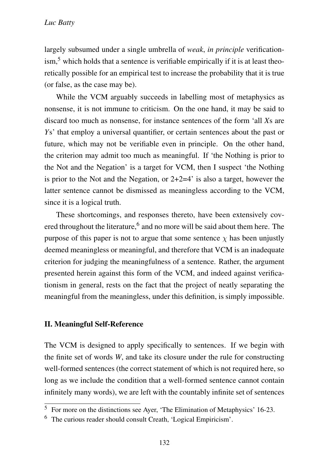largely subsumed under a single umbrella of *weak*, *in principle* verification- $\sin^5$  which holds that a sentence is verifiable empirically if it is at least theoretically possible for an empirical test to increase the probability that it is true (or false, as the case may be).

While the VCM arguably succeeds in labelling most of metaphysics as nonsense, it is not immune to criticism. On the one hand, it may be said to discard too much as nonsense, for instance sentences of the form 'all *X*s are *Y*s' that employ a universal quantifier, or certain sentences about the past or future, which may not be verifiable even in principle. On the other hand, the criterion may admit too much as meaningful. If 'the Nothing is prior to the Not and the Negation' is a target for VCM, then I suspect 'the Nothing is prior to the Not and the Negation, or  $2+2=4$  is also a target, however the latter sentence cannot be dismissed as meaningless according to the VCM, since it is a logical truth.

These shortcomings, and responses thereto, have been extensively covered throughout the literature,<sup>6</sup> and no more will be said about them here. The purpose of this paper is not to argue that some sentence  $\chi$  has been unjustly deemed meaningless or meaningful, and therefore that VCM is an inadequate criterion for judging the meaningfulness of a sentence. Rather, the argument presented herein against this form of the VCM, and indeed against verificationism in general, rests on the fact that the project of neatly separating the meaningful from the meaningless, under this definition, is simply impossible.

#### II. Meaningful Self-Reference

The VCM is designed to apply specifically to sentences. If we begin with the finite set of words *W*, and take its closure under the rule for constructing well-formed sentences (the correct statement of which is not required here, so long as we include the condition that a well-formed sentence cannot contain infinitely many words), we are left with the countably infinite set of sentences

<sup>5</sup> For more on the distinctions see Ayer, 'The Elimination of Metaphysics' 16-23.

<sup>6</sup> The curious reader should consult Creath, 'Logical Empiricism'.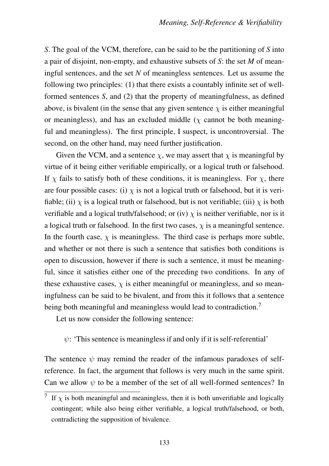*S*. The goal of the VCM, therefore, can be said to be the partitioning of *S* into a pair of disjoint, non-empty, and exhaustive subsets of *S*: the set *M* of meaningful sentences, and the set *N* of meaningless sentences. Let us assume the following two principles: (1) that there exists a countably infinite set of wellformed sentences *S*, and (2) that the property of meaningfulness, as defined above, is bivalent (in the sense that any given sentence  $\chi$  is either meaningful or meaningless), and has an excluded middle ( $\chi$  cannot be both meaningful and meaningless). The first principle, I suspect, is uncontroversial. The second, on the other hand, may need further justification.

Given the VCM, and a sentence  $\chi$ , we may assert that  $\chi$  is meaningful by virtue of it being either verifiable empirically, or a logical truth or falsehood. If  $\chi$  fails to satisfy both of these conditions, it is meaningless. For  $\chi$ , there are four possible cases: (i)  $\chi$  is not a logical truth or falsehood, but it is verifiable; (ii)  $\chi$  is a logical truth or falsehood, but is not verifiable; (iii)  $\chi$  is both verifiable and a logical truth/falsehood; or (iv)  $\chi$  is neither verifiable, nor is it a logical truth or falsehood. In the first two cases,  $\chi$  is a meaningful sentence. In the fourth case,  $\chi$  is meaningless. The third case is perhaps more subtle, and whether or not there is such a sentence that satisfies both conditions is open to discussion, however if there is such a sentence, it must be meaningful, since it satisfies either one of the preceding two conditions. In any of these exhaustive cases,  $\chi$  is either meaningful or meaningless, and so meaningfulness can be said to be bivalent, and from this it follows that a sentence being both meaningful and meaningless would lead to contradiction.<sup>7</sup>

Let us now consider the following sentence:

## $\psi$ : 'This sentence is meaningless if and only if it is self-referential'

The sentence  $\psi$  may remind the reader of the infamous paradoxes of selfreference. In fact, the argument that follows is very much in the same spirit. Can we allow  $\psi$  to be a member of the set of all well-formed sentences? In

If  $\chi$  is both meaningful and meaningless, then it is both unverifiable and logically contingent; while also being either verifiable, a logical truth/falsehood, or both, contradicting the supposition of bivalence.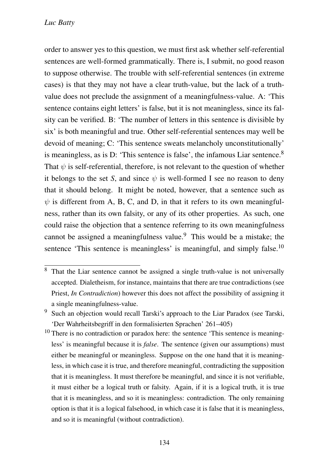order to answer yes to this question, we must first ask whether self-referential sentences are well-formed grammatically. There is, I submit, no good reason to suppose otherwise. The trouble with self-referential sentences (in extreme cases) is that they may not have a clear truth-value, but the lack of a truthvalue does not preclude the assignment of a meaningfulness-value. A: 'This sentence contains eight letters' is false, but it is not meaningless, since its falsity can be verified. B: 'The number of letters in this sentence is divisible by six' is both meaningful and true. Other self-referential sentences may well be devoid of meaning; C: 'This sentence sweats melancholy unconstitutionally' is meaningless, as is D: 'This sentence is false', the infamous Liar sentence.<sup>8</sup> That  $\psi$  is self-referential, therefore, is not relevant to the question of whether it belongs to the set *S*, and since  $\psi$  is well-formed I see no reason to deny that it should belong. It might be noted, however, that a sentence such as  $\psi$  is different from A, B, C, and D, in that it refers to its own meaningfulness, rather than its own falsity, or any of its other properties. As such, one could raise the objection that a sentence referring to its own meaningfulness cannot be assigned a meaningfulness value.<sup>9</sup> This would be a mistake; the sentence 'This sentence is meaningless' is meaningful, and simply false.<sup>10</sup>

That the Liar sentence cannot be assigned a single truth-value is not universally accepted. Dialetheism, for instance, maintains that there are true contradictions (see Priest, *In Contradiction*) however this does not affect the possibility of assigning it a single meaningfulness-value.

<sup>9</sup> Such an objection would recall Tarski's approach to the Liar Paradox (see Tarski, 'Der Wahrheitsbegriff in den formalisierten Sprachen' 261–405)

<sup>&</sup>lt;sup>10</sup> There is no contradiction or paradox here: the sentence 'This sentence is meaningless' is meaningful because it is *false*. The sentence (given our assumptions) must either be meaningful or meaningless. Suppose on the one hand that it is meaningless, in which case it is true, and therefore meaningful, contradicting the supposition that it is meaningless. It must therefore be meaningful, and since it is not verifiable, it must either be a logical truth or falsity. Again, if it is a logical truth, it is true that it is meaningless, and so it is meaningless: contradiction. The only remaining option is that it is a logical falsehood, in which case it is false that it is meaningless, and so it is meaningful (without contradiction).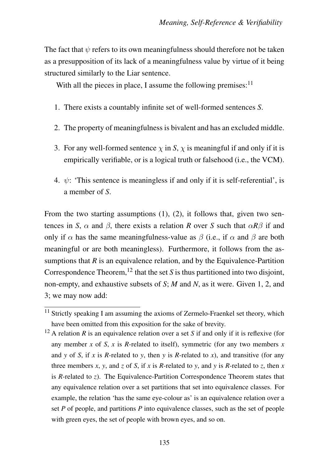The fact that  $\psi$  refers to its own meaningfulness should therefore not be taken as a presupposition of its lack of a meaningfulness value by virtue of it being structured similarly to the Liar sentence.

With all the pieces in place, I assume the following premises:<sup>11</sup>

- 1. There exists a countably infinite set of well-formed sentences *S*.
- 2. The property of meaningfulness is bivalent and has an excluded middle.
- 3. For any well-formed sentence  $\chi$  in *S*,  $\chi$  is meaningful if and only if it is empirically verifiable, or is a logical truth or falsehood (i.e., the VCM).
- 4.  $\psi$ : 'This sentence is meaningless if and only if it is self-referential', is a member of *S*.

From the two starting assumptions (1), (2), it follows that, given two sentences in *S*,  $\alpha$  and  $\beta$ , there exists a relation *R* over *S* such that  $\alpha R\beta$  if and only if  $\alpha$  has the same meaningfulness-value as  $\beta$  (i.e., if  $\alpha$  and  $\beta$  are both meaningful or are both meaningless). Furthermore, it follows from the assumptions that  $R$  is an equivalence relation, and by the Equivalence-Partition Correspondence Theorem,<sup>12</sup> that the set  $S$  is thus partitioned into two disjoint, non-empty, and exhaustive subsets of *S*; *M* and *N*, as it were. Given 1, 2, and 3; we may now add:

 $\frac{11}{11}$  Strictly speaking I am assuming the axioms of Zermelo-Fraenkel set theory, which have been omitted from this exposition for the sake of brevity.

<sup>12</sup> A relation *R* is an equivalence relation over a set *S* if and only if it is reflexive (for any member  $x$  of  $S$ ,  $x$  is  $R$ -related to itself), symmetric (for any two members  $x$ and *y* of *S*, if *x* is *R*-related to *y*, then *y* is *R*-related to *x*), and transitive (for any three members *x*, *y*, and *z* of *S*, if *x* is *R*-related to *y*, and *y* is *R*-related to *z*, then *x* is *R*-related to *z*). The Equivalence-Partition Correspondence Theorem states that any equivalence relation over a set partitions that set into equivalence classes. For example, the relation 'has the same eye-colour as' is an equivalence relation over a set *P* of people, and partitions *P* into equivalence classes, such as the set of people with green eyes, the set of people with brown eyes, and so on.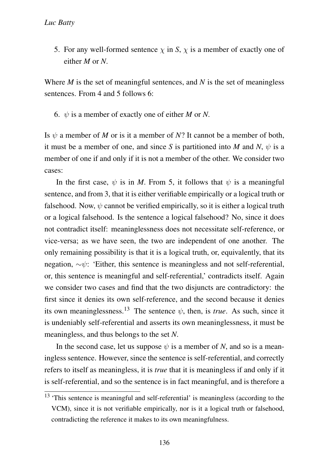5. For any well-formed sentence  $\chi$  in *S*,  $\chi$  is a member of exactly one of either *M* or *N*.

Where *M* is the set of meaningful sentences, and *N* is the set of meaningless sentences. From 4 and 5 follows 6:

6.  $\psi$  is a member of exactly one of either *M* or *N*.

Is  $\psi$  a member of *M* or is it a member of *N*? It cannot be a member of both, it must be a member of one, and since S is partitioned into M and N,  $\psi$  is a member of one if and only if it is not a member of the other. We consider two cases:

In the first case,  $\psi$  is in *M*. From 5, it follows that  $\psi$  is a meaningful sentence, and from 3, that it is either verifiable empirically or a logical truth or falsehood. Now,  $\psi$  cannot be verified empirically, so it is either a logical truth or a logical falsehood. Is the sentence a logical falsehood? No, since it does not contradict itself: meaninglessness does not necessitate self-reference, or vice-versa; as we have seen, the two are independent of one another. The only remaining possibility is that it is a logical truth, or, equivalently, that its negation,  $\sim \psi$ : 'Either, this sentence is meaningless and not self-referential, or, this sentence is meaningful and self-referential,' contradicts itself. Again we consider two cases and find that the two disjuncts are contradictory: the first since it denies its own self-reference, and the second because it denies its own meaninglessness.<sup>13</sup> The sentence  $\psi$ , then, is *true*. As such, since it is undeniably self-referential and asserts its own meaninglessness, it must be meaningless, and thus belongs to the set *N*.

In the second case, let us suppose  $\psi$  is a member of *N*, and so is a meaningless sentence. However, since the sentence is self-referential, and correctly refers to itself as meaningless, it is *true* that it is meaningless if and only if it is self-referential, and so the sentence is in fact meaningful, and is therefore a

<sup>&</sup>lt;sup>13</sup> 'This sentence is meaningful and self-referential' is meaningless (according to the VCM), since it is not verifiable empirically, nor is it a logical truth or falsehood, contradicting the reference it makes to its own meaningfulness.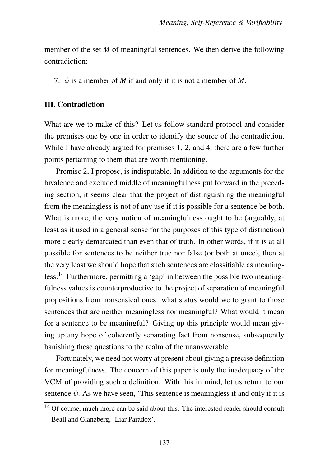member of the set *M* of meaningful sentences. We then derive the following contradiction:

7.  $\psi$  is a member of *M* if and only if it is not a member of *M*.

### III. Contradiction

What are we to make of this? Let us follow standard protocol and consider the premises one by one in order to identify the source of the contradiction. While I have already argued for premises 1, 2, and 4, there are a few further points pertaining to them that are worth mentioning.

Premise 2, I propose, is indisputable. In addition to the arguments for the bivalence and excluded middle of meaningfulness put forward in the preceding section, it seems clear that the project of distinguishing the meaningful from the meaningless is not of any use if it is possible for a sentence be both. What is more, the very notion of meaningfulness ought to be (arguably, at least as it used in a general sense for the purposes of this type of distinction) more clearly demarcated than even that of truth. In other words, if it is at all possible for sentences to be neither true nor false (or both at once), then at the very least we should hope that such sentences are classifiable as meaningless.14 Furthermore, permitting a 'gap' in between the possible two meaningfulness values is counterproductive to the project of separation of meaningful propositions from nonsensical ones: what status would we to grant to those sentences that are neither meaningless nor meaningful? What would it mean for a sentence to be meaningful? Giving up this principle would mean giving up any hope of coherently separating fact from nonsense, subsequently banishing these questions to the realm of the unanswerable.

Fortunately, we need not worry at present about giving a precise definition for meaningfulness. The concern of this paper is only the inadequacy of the VCM of providing such a definition. With this in mind, let us return to our sentence  $\psi$ . As we have seen, 'This sentence is meaningless if and only if it is

 $14$  Of course, much more can be said about this. The interested reader should consult Beall and Glanzberg, 'Liar Paradox'.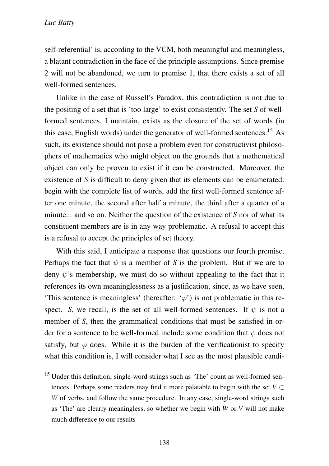self-referential' is, according to the VCM, both meaningful and meaningless, a blatant contradiction in the face of the principle assumptions. Since premise 2 will not be abandoned, we turn to premise 1, that there exists a set of all well-formed sentences.

Unlike in the case of Russell's Paradox, this contradiction is not due to the positing of a set that is 'too large' to exist consistently. The set *S* of wellformed sentences, I maintain, exists as the closure of the set of words (in this case, English words) under the generator of well-formed sentences.<sup>15</sup> As such, its existence should not pose a problem even for constructivist philosophers of mathematics who might object on the grounds that a mathematical object can only be proven to exist if it can be constructed. Moreover, the existence of *S* is difficult to deny given that its elements can be enumerated: begin with the complete list of words, add the first well-formed sentence after one minute, the second after half a minute, the third after a quarter of a minute... and so on. Neither the question of the existence of *S* nor of what its constituent members are is in any way problematic. A refusal to accept this is a refusal to accept the principles of set theory.

With this said, I anticipate a response that questions our fourth premise. Perhaps the fact that  $\psi$  is a member of *S* is the problem. But if we are to deny  $\psi$ 's membership, we must do so without appealing to the fact that it references its own meaninglessness as a justification, since, as we have seen, 'This sentence is meaningless' (hereafter:  $\varphi$ ) is not problematic in this respect. *S*, we recall, is the set of all well-formed sentences. If  $\psi$  is not a member of *S*, then the grammatical conditions that must be satisfied in order for a sentence to be well-formed include some condition that  $\psi$  does not satisfy, but  $\varphi$  does. While it is the burden of the verificationist to specify what this condition is, I will consider what I see as the most plausible candi-

<sup>&</sup>lt;sup>15</sup> Under this definition, single-word strings such as 'The' count as well-formed sentences. Perhaps some readers may find it more palatable to begin with the set  $V \subset$ *W* of verbs, and follow the same procedure. In any case, single-word strings such as 'The' are clearly meaningless, so whether we begin with *W* or *V* will not make much difference to our results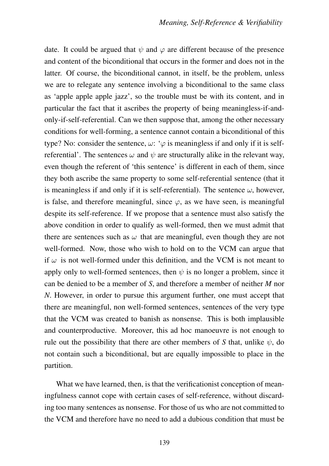date. It could be argued that  $\psi$  and  $\varphi$  are different because of the presence and content of the biconditional that occurs in the former and does not in the latter. Of course, the biconditional cannot, in itself, be the problem, unless we are to relegate any sentence involving a biconditional to the same class as 'apple apple apple jazz', so the trouble must be with its content, and in particular the fact that it ascribes the property of being meaningless-if-andonly-if-self-referential. Can we then suppose that, among the other necessary conditions for well-forming, a sentence cannot contain a biconditional of this type? No: consider the sentence,  $\omega$ : ' $\varphi$  is meaningless if and only if it is selfreferential'. The sentences  $\omega$  and  $\psi$  are structurally alike in the relevant way, even though the referent of 'this sentence' is different in each of them, since they both ascribe the same property to some self-referential sentence (that it is meaningless if and only if it is self-referential). The sentence  $\omega$ , however, is false, and therefore meaningful, since  $\varphi$ , as we have seen, is meaningful despite its self-reference. If we propose that a sentence must also satisfy the above condition in order to qualify as well-formed, then we must admit that there are sentences such as  $\omega$  that are meaningful, even though they are not well-formed. Now, those who wish to hold on to the VCM can argue that if  $\omega$  is not well-formed under this definition, and the VCM is not meant to apply only to well-formed sentences, then  $\psi$  is no longer a problem, since it can be denied to be a member of *S*, and therefore a member of neither *M* nor *N*. However, in order to pursue this argument further, one must accept that there are meaningful, non well-formed sentences, sentences of the very type that the VCM was created to banish as nonsense. This is both implausible and counterproductive. Moreover, this ad hoc manoeuvre is not enough to rule out the possibility that there are other members of *S* that, unlike  $\psi$ , do not contain such a biconditional, but are equally impossible to place in the partition.

What we have learned, then, is that the verificationist conception of meaningfulness cannot cope with certain cases of self-reference, without discarding too many sentences as nonsense. For those of us who are not committed to the VCM and therefore have no need to add a dubious condition that must be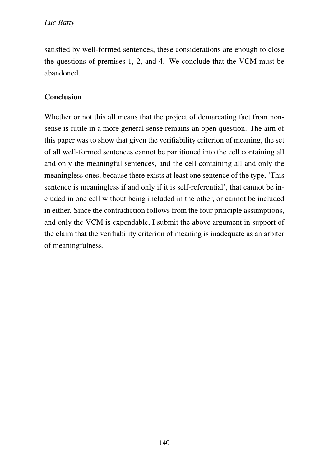satisfied by well-formed sentences, these considerations are enough to close the questions of premises 1, 2, and 4. We conclude that the VCM must be abandoned.

# **Conclusion**

Whether or not this all means that the project of demarcating fact from nonsense is futile in a more general sense remains an open question. The aim of this paper was to show that given the verifiability criterion of meaning, the set of all well-formed sentences cannot be partitioned into the cell containing all and only the meaningful sentences, and the cell containing all and only the meaningless ones, because there exists at least one sentence of the type, 'This sentence is meaningless if and only if it is self-referential', that cannot be included in one cell without being included in the other, or cannot be included in either. Since the contradiction follows from the four principle assumptions, and only the VCM is expendable, I submit the above argument in support of the claim that the verifiability criterion of meaning is inadequate as an arbiter of meaningfulness.